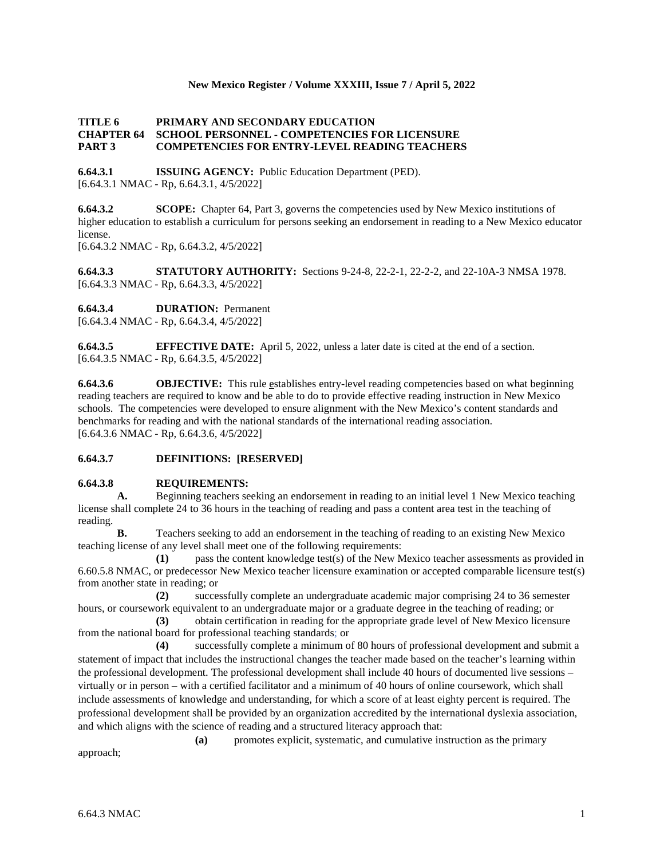### **New Mexico Register / Volume XXXIII, Issue 7 / April 5, 2022**

### **TITLE 6 PRIMARY AND SECONDARY EDUCATION CHAPTER 64 SCHOOL PERSONNEL - COMPETENCIES FOR LICENSURE PART 3 COMPETENCIES FOR ENTRY-LEVEL READING TEACHERS**

**6.64.3.1 ISSUING AGENCY:** Public Education Department (PED). [6.64.3.1 NMAC - Rp, 6.64.3.1, 4/5/2022]

**6.64.3.2 SCOPE:** Chapter 64, Part 3, governs the competencies used by New Mexico institutions of higher education to establish a curriculum for persons seeking an endorsement in reading to a New Mexico educator license.

[6.64.3.2 NMAC - Rp, 6.64.3.2, 4/5/2022]

**6.64.3.3 STATUTORY AUTHORITY:** Sections 9-24-8, 22-2-1, 22-2-2, and 22-10A-3 NMSA 1978. [6.64.3.3 NMAC - Rp, 6.64.3.3, 4/5/2022]

**6.64.3.4 DURATION:** Permanent

[6.64.3.4 NMAC - Rp, 6.64.3.4, 4/5/2022]

**6.64.3.5 EFFECTIVE DATE:** April 5, 2022, unless a later date is cited at the end of a section. [6.64.3.5 NMAC - Rp, 6.64.3.5, 4/5/2022]

**6.64.3.6 OBJECTIVE:** This rule establishes entry-level reading competencies based on what beginning reading teachers are required to know and be able to do to provide effective reading instruction in New Mexico schools. The competencies were developed to ensure alignment with the New Mexico's content standards and benchmarks for reading and with the national standards of the international reading association. [6.64.3.6 NMAC - Rp, 6.64.3.6, 4/5/2022]

## **6.64.3.7 DEFINITIONS: [RESERVED]**

# **6.64.3.8 REQUIREMENTS:**<br>**A.** Beginning teachers se

**A.** Beginning teachers seeking an endorsement in reading to an initial level 1 New Mexico teaching license shall complete 24 to 36 hours in the teaching of reading and pass a content area test in the teaching of reading.

**B.** Teachers seeking to add an endorsement in the teaching of reading to an existing New Mexico teaching license of any level shall meet one of the following requirements:

**(1)** pass the content knowledge test(s) of the New Mexico teacher assessments as provided in 6.60.5.8 NMAC, or predecessor New Mexico teacher licensure examination or accepted comparable licensure test(s) from another state in reading; or

**(2)** successfully complete an undergraduate academic major comprising 24 to 36 semester hours, or coursework equivalent to an undergraduate major or a graduate degree in the teaching of reading; or **(3)** obtain certification in reading for the appropriate grade level of New Mexico licensure

from the national board for professional teaching standards; or

**(4)** successfully complete a minimum of 80 hours of professional development and submit a statement of impact that includes the instructional changes the teacher made based on the teacher's learning within the professional development. The professional development shall include 40 hours of documented live sessions – virtually or in person – with a certified facilitator and a minimum of 40 hours of online coursework, which shall include assessments of knowledge and understanding, for which a score of at least eighty percent is required. The professional development shall be provided by an organization accredited by the international dyslexia association, and which aligns with the science of reading and a structured literacy approach that:

**(a)** promotes explicit, systematic, and cumulative instruction as the primary approach;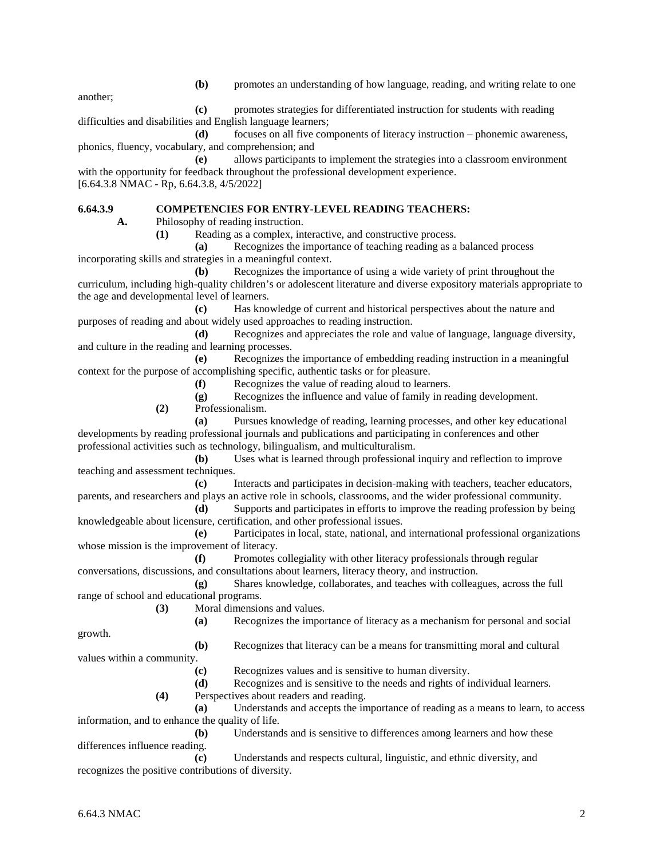**(b)** promotes an understanding of how language, reading, and writing relate to one

another;

**(c)** promotes strategies for differentiated instruction for students with reading difficulties and disabilities and English language learners;

**(d)** focuses on all five components of literacy instruction – phonemic awareness, phonics, fluency, vocabulary, and comprehension; and

**(e)** allows participants to implement the strategies into a classroom environment with the opportunity for feedback throughout the professional development experience. [6.64.3.8 NMAC - Rp, 6.64.3.8, 4/5/2022]

### **6.64.3.9 COMPETENCIES FOR ENTRY-LEVEL READING TEACHERS:**

**A.** Philosophy of reading instruction.

**(1)** Reading as a complex, interactive, and constructive process.

**(a)** Recognizes the importance of teaching reading as a balanced process incorporating skills and strategies in a meaningful context.

**(b)** Recognizes the importance of using a wide variety of print throughout the curriculum, including high-quality children's or adolescent literature and diverse expository materials appropriate to the age and developmental level of learners.

**(c)** Has knowledge of current and historical perspectives about the nature and purposes of reading and about widely used approaches to reading instruction.

**(d)** Recognizes and appreciates the role and value of language, language diversity, and culture in the reading and learning processes.

**(e)** Recognizes the importance of embedding reading instruction in a meaningful context for the purpose of accomplishing specific, authentic tasks or for pleasure.

**(f)** Recognizes the value of reading aloud to learners.

**(g)** Recognizes the influence and value of family in reading development.

**(2)** Professionalism.

**(a)** Pursues knowledge of reading, learning processes, and other key educational developments by reading professional journals and publications and participating in conferences and other professional activities such as technology, bilingualism, and multiculturalism.

**(b)** Uses what is learned through professional inquiry and reflection to improve teaching and assessment techniques.

**(c)** Interacts and participates in decision-making with teachers, teacher educators, parents, and researchers and plays an active role in schools, classrooms, and the wider professional community.

**(d)** Supports and participates in efforts to improve the reading profession by being knowledgeable about licensure, certification, and other professional issues.

**(e)** Participates in local, state, national, and international professional organizations whose mission is the improvement of literacy.

**(f)** Promotes collegiality with other literacy professionals through regular conversations, discussions, and consultations about learners, literacy theory, and instruction.

**(g)** Shares knowledge, collaborates, and teaches with colleagues, across the full range of school and educational programs.

**(3)** Moral dimensions and values.

**(a)** Recognizes the importance of literacy as a mechanism for personal and social

growth.

**(b)** Recognizes that literacy can be a means for transmitting moral and cultural

values within a community. **(c)** Recognizes values and is sensitive to human diversity.

**(d)** Recognizes and is sensitive to the needs and rights of individual learners.

**(4)** Perspectives about readers and reading.

**(a)** Understands and accepts the importance of reading as a means to learn, to access information, and to enhance the quality of life.

**(b)** Understands and is sensitive to differences among learners and how these differences influence reading.

**(c)** Understands and respects cultural, linguistic, and ethnic diversity, and recognizes the positive contributions of diversity.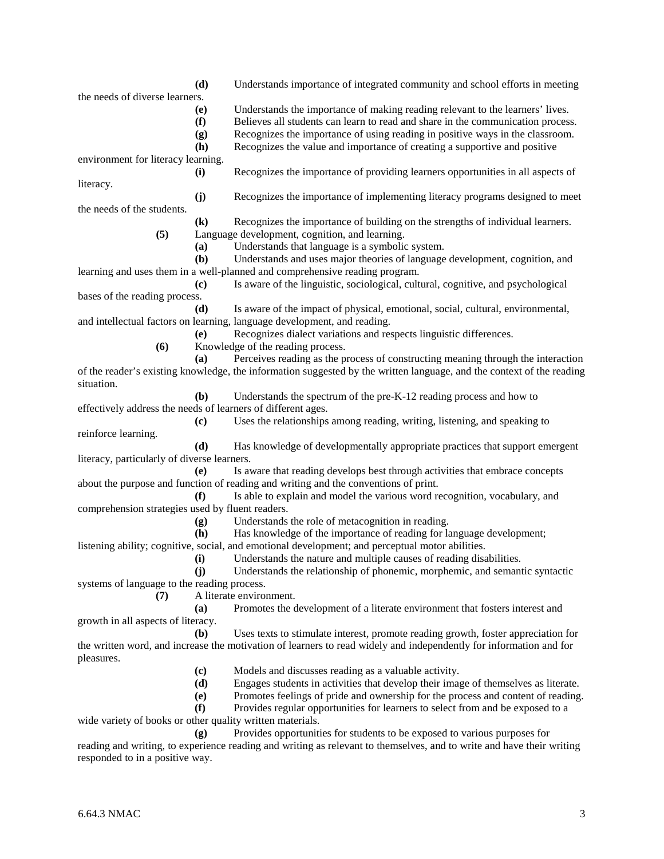**(d)** Engages students in activities that develop their image of themselves as literate. **(e)** Promotes feelings of pride and ownership for the process and content of reading. **(f)** Provides regular opportunities for learners to select from and be exposed to a wide variety of books or other quality written materials. **(g)** Provides opportunities for students to be exposed to various purposes for reading and writing, to experience reading and writing as relevant to themselves, and to write and have their writing

the written word, and increase the motivation of learners to read widely and independently for information and for

**(c)** Models and discusses reading as a valuable activity.

- 
- **(i)** Understands the nature and multiple causes of reading disabilities. **(j)** Understands the relationship of phonemic, morphemic, and semantic syntactic

**(g)** Understands the role of metacognition in reading.

systems of language to the reading process.

comprehension strategies used by fluent readers.

- 
- 
- 
- - - -
			-
- 
- -
- - -
		-
		-

about the purpose and function of reading and writing and the conventions of print.

listening ability; cognitive, social, and emotional development; and perceptual motor abilities.

**(7)** A literate environment. **(a)** Promotes the development of a literate environment that fosters interest and growth in all aspects of literacy.

**(b)** Uses texts to stimulate interest, promote reading growth, foster appreciation for

effectively address the needs of learners of different ages. **(c)** Uses the relationships among reading, writing, listening, and speaking to reinforce learning. **(d)** Has knowledge of developmentally appropriate practices that support emergent

**(b)** Understands the spectrum of the pre-K-12 reading process and how to

**(e)** Is aware that reading develops best through activities that embrace concepts

**(f)** Is able to explain and model the various word recognition, vocabulary, and

**(h)** Has knowledge of the importance of reading for language development;

- and intellectual factors on learning, language development, and reading. **(e)** Recognizes dialect variations and respects linguistic differences.
- 
- 
- **(c)** Is aware of the linguistic, sociological, cultural, cognitive, and psychological
- bases of the reading process. **(d)** Is aware of the impact of physical, emotional, social, cultural, environmental,
	-

**(a)** Understands that language is a symbolic system.

learning and uses them in a well-planned and comprehensive reading program.

- -
- 
- 
- 

**(5)** Language development, cognition, and learning.

- **(6)** Knowledge of the reading process. **(a)** Perceives reading as the process of constructing meaning through the interaction of the reader's existing knowledge, the information suggested by the written language, and the context of the reading
- 

- **(d)** Understands importance of integrated community and school efforts in meeting
	-
- **(e)** Understands the importance of making reading relevant to the learners' lives.

**(f)** Believes all students can learn to read and share in the communication process.

**(g)** Recognizes the importance of using reading in positive ways in the classroom.

**(h)** Recognizes the value and importance of creating a supportive and positive

**(i)** Recognizes the importance of providing learners opportunities in all aspects of

**(j)** Recognizes the importance of implementing literacy programs designed to meet

**(k)** Recognizes the importance of building on the strengths of individual learners.

**(b)** Understands and uses major theories of language development, cognition, and

environment for literacy learning.

the needs of diverse learners.

the needs of the students.

literacy.

situation.

pleasures.

literacy, particularly of diverse learners.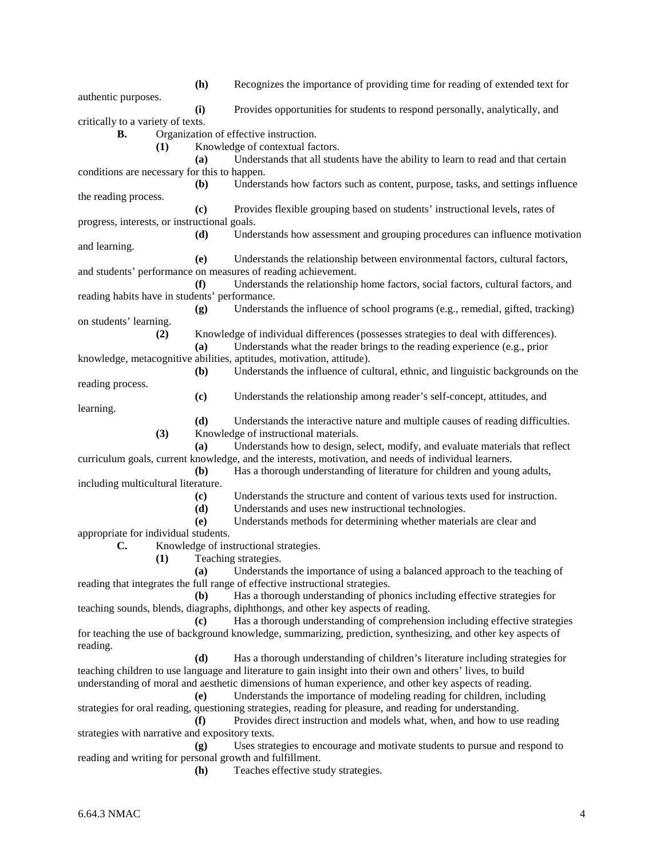**(h)** Recognizes the importance of providing time for reading of extended text for authentic purposes. **(i)** Provides opportunities for students to respond personally, analytically, and critically to a variety of texts. **B.** Organization of effective instruction. **(1)** Knowledge of contextual factors. **(a)** Understands that all students have the ability to learn to read and that certain conditions are necessary for this to happen. **(b)** Understands how factors such as content, purpose, tasks, and settings influence the reading process. **(c)** Provides flexible grouping based on students' instructional levels, rates of progress, interests, or instructional goals. **(d)** Understands how assessment and grouping procedures can influence motivation and learning. **(e)** Understands the relationship between environmental factors, cultural factors, and students' performance on measures of reading achievement. **(f)** Understands the relationship home factors, social factors, cultural factors, and reading habits have in students' performance. **(g)** Understands the influence of school programs (e.g., remedial, gifted, tracking) on students' learning. **(2)** Knowledge of individual differences (possesses strategies to deal with differences). **(a)** Understands what the reader brings to the reading experience (e.g., prior knowledge, metacognitive abilities, aptitudes, motivation, attitude). **(b)** Understands the influence of cultural, ethnic, and linguistic backgrounds on the reading process. **(c)** Understands the relationship among reader's self-concept, attitudes, and learning. **(d)** Understands the interactive nature and multiple causes of reading difficulties. **(3)** Knowledge of instructional materials. **(a)** Understands how to design, select, modify, and evaluate materials that reflect curriculum goals, current knowledge, and the interests, motivation, and needs of individual learners. **(b)** Has a thorough understanding of literature for children and young adults, including multicultural literature. **(c)** Understands the structure and content of various texts used for instruction. **(d)** Understands and uses new instructional technologies. **(e)** Understands methods for determining whether materials are clear and appropriate for individual students. **C.** Knowledge of instructional strategies. **(1)** Teaching strategies. **(a)** Understands the importance of using a balanced approach to the teaching of reading that integrates the full range of effective instructional strategies. **(b)** Has a thorough understanding of phonics including effective strategies for teaching sounds, blends, diagraphs, diphthongs, and other key aspects of reading. **(c)** Has a thorough understanding of comprehension including effective strategies for teaching the use of background knowledge, summarizing, prediction, synthesizing, and other key aspects of reading. **(d)** Has a thorough understanding of children's literature including strategies for teaching children to use language and literature to gain insight into their own and others' lives, to build understanding of moral and aesthetic dimensions of human experience, and other key aspects of reading. **(e)** Understands the importance of modeling reading for children, including strategies for oral reading, questioning strategies, reading for pleasure, and reading for understanding. **(f)** Provides direct instruction and models what, when, and how to use reading strategies with narrative and expository texts. **(g)** Uses strategies to encourage and motivate students to pursue and respond to reading and writing for personal growth and fulfillment. **(h)** Teaches effective study strategies.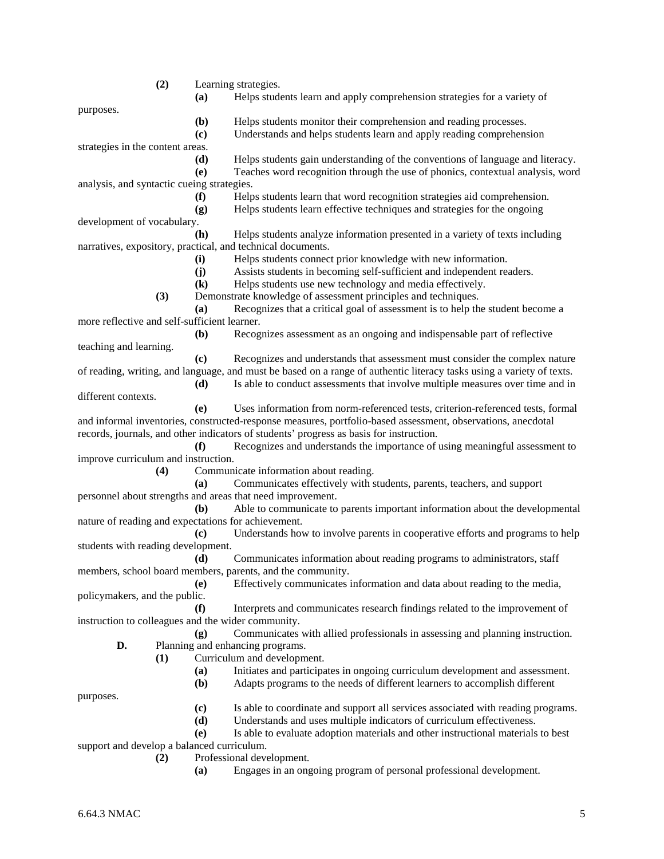|                                                                                                              | (2) |                            | Learning strategies.                                                                                                  |
|--------------------------------------------------------------------------------------------------------------|-----|----------------------------|-----------------------------------------------------------------------------------------------------------------------|
|                                                                                                              |     | (a)                        | Helps students learn and apply comprehension strategies for a variety of                                              |
| purposes.                                                                                                    |     |                            |                                                                                                                       |
|                                                                                                              |     | (b)                        | Helps students monitor their comprehension and reading processes.                                                     |
|                                                                                                              |     | (c)                        | Understands and helps students learn and apply reading comprehension                                                  |
| strategies in the content areas.                                                                             |     |                            |                                                                                                                       |
|                                                                                                              |     | (d)                        | Helps students gain understanding of the conventions of language and literacy.                                        |
|                                                                                                              |     | (e)                        | Teaches word recognition through the use of phonics, contextual analysis, word                                        |
| analysis, and syntactic cueing strategies.                                                                   |     |                            |                                                                                                                       |
|                                                                                                              |     | (f)                        | Helps students learn that word recognition strategies aid comprehension.                                              |
|                                                                                                              |     | (g)                        | Helps students learn effective techniques and strategies for the ongoing                                              |
| development of vocabulary.                                                                                   |     |                            |                                                                                                                       |
|                                                                                                              |     | (h)                        | Helps students analyze information presented in a variety of texts including                                          |
|                                                                                                              |     |                            | narratives, expository, practical, and technical documents.                                                           |
|                                                                                                              |     | (i)                        | Helps students connect prior knowledge with new information.                                                          |
|                                                                                                              |     | (j)                        | Assists students in becoming self-sufficient and independent readers.                                                 |
|                                                                                                              |     | $\left( \mathbf{k}\right)$ | Helps students use new technology and media effectively.                                                              |
|                                                                                                              | (3) |                            | Demonstrate knowledge of assessment principles and techniques.                                                        |
|                                                                                                              |     | (a)                        | Recognizes that a critical goal of assessment is to help the student become a                                         |
| more reflective and self-sufficient learner.                                                                 |     |                            |                                                                                                                       |
|                                                                                                              |     | ( <b>b</b> )               | Recognizes assessment as an ongoing and indispensable part of reflective                                              |
| teaching and learning.                                                                                       |     |                            |                                                                                                                       |
|                                                                                                              |     | (c)                        | Recognizes and understands that assessment must consider the complex nature                                           |
|                                                                                                              |     |                            | of reading, writing, and language, and must be based on a range of authentic literacy tasks using a variety of texts. |
|                                                                                                              |     | (d)                        | Is able to conduct assessments that involve multiple measures over time and in                                        |
| different contexts.                                                                                          |     |                            |                                                                                                                       |
|                                                                                                              |     | (e)                        | Uses information from norm-referenced tests, criterion-referenced tests, formal                                       |
| and informal inventories, constructed-response measures, portfolio-based assessment, observations, anecdotal |     |                            |                                                                                                                       |
|                                                                                                              |     |                            | records, journals, and other indicators of students' progress as basis for instruction.                               |
|                                                                                                              |     | (f)                        | Recognizes and understands the importance of using meaningful assessment to                                           |
| improve curriculum and instruction.                                                                          |     |                            |                                                                                                                       |
|                                                                                                              | (4) |                            | Communicate information about reading.                                                                                |
|                                                                                                              |     | (a)                        | Communicates effectively with students, parents, teachers, and support                                                |
|                                                                                                              |     |                            | personnel about strengths and areas that need improvement.                                                            |
|                                                                                                              |     | ( <b>b</b> )               | Able to communicate to parents important information about the developmental                                          |
| nature of reading and expectations for achievement.                                                          |     |                            |                                                                                                                       |
|                                                                                                              |     | (c)                        | Understands how to involve parents in cooperative efforts and programs to help                                        |
| students with reading development.                                                                           |     |                            |                                                                                                                       |
|                                                                                                              |     |                            | (d) Communicates information about reading programs to administrators, staff                                          |
|                                                                                                              |     |                            | members, school board members, parents, and the community.                                                            |
|                                                                                                              |     | (e)                        | Effectively communicates information and data about reading to the media,                                             |
| policymakers, and the public.                                                                                |     |                            |                                                                                                                       |
|                                                                                                              |     | (f)                        | Interprets and communicates research findings related to the improvement of                                           |
| instruction to colleagues and the wider community.                                                           |     |                            |                                                                                                                       |
|                                                                                                              |     | (g)                        | Communicates with allied professionals in assessing and planning instruction.                                         |
| D.                                                                                                           |     |                            | Planning and enhancing programs.                                                                                      |
|                                                                                                              | (1) |                            | Curriculum and development.                                                                                           |
|                                                                                                              |     | (a)                        | Initiates and participates in ongoing curriculum development and assessment.                                          |
|                                                                                                              |     | ( <b>b</b> )               | Adapts programs to the needs of different learners to accomplish different                                            |
| purposes.                                                                                                    |     |                            |                                                                                                                       |
|                                                                                                              |     | (c)                        | Is able to coordinate and support all services associated with reading programs.                                      |
|                                                                                                              |     | (d)                        | Understands and uses multiple indicators of curriculum effectiveness.                                                 |
|                                                                                                              |     | (e)                        | Is able to evaluate adoption materials and other instructional materials to best                                      |
| support and develop a balanced curriculum.                                                                   |     |                            |                                                                                                                       |

- **(2)** Professional development.
	- **(a)** Engages in an ongoing program of personal professional development.